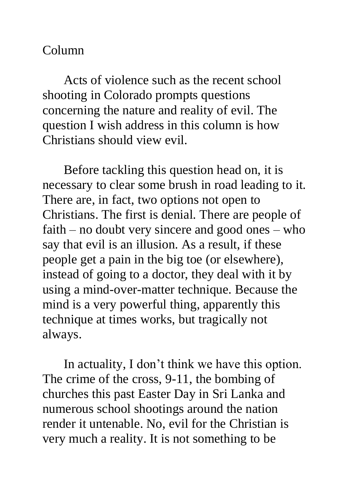## Column

Acts of violence such as the recent school shooting in Colorado prompts questions concerning the nature and reality of evil. The question I wish address in this column is how Christians should view evil.

Before tackling this question head on, it is necessary to clear some brush in road leading to it. There are, in fact, two options not open to Christians. The first is denial. There are people of faith – no doubt very sincere and good ones – who say that evil is an illusion. As a result, if these people get a pain in the big toe (or elsewhere), instead of going to a doctor, they deal with it by using a mind-over-matter technique. Because the mind is a very powerful thing, apparently this technique at times works, but tragically not always.

In actuality, I don't think we have this option. The crime of the cross, 9-11, the bombing of churches this past Easter Day in Sri Lanka and numerous school shootings around the nation render it untenable. No, evil for the Christian is very much a reality. It is not something to be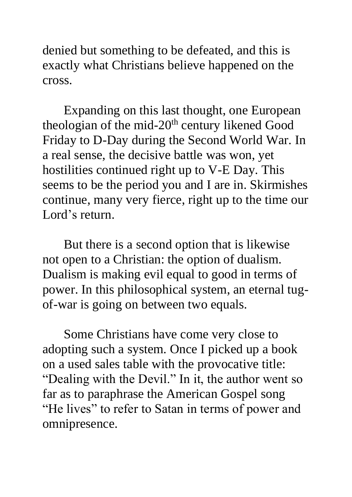denied but something to be defeated, and this is exactly what Christians believe happened on the cross.

Expanding on this last thought, one European theologian of the mid- $20<sup>th</sup>$  century likened Good Friday to D-Day during the Second World War. In a real sense, the decisive battle was won, yet hostilities continued right up to V-E Day. This seems to be the period you and I are in. Skirmishes continue, many very fierce, right up to the time our Lord's return.

But there is a second option that is likewise not open to a Christian: the option of dualism. Dualism is making evil equal to good in terms of power. In this philosophical system, an eternal tugof-war is going on between two equals.

Some Christians have come very close to adopting such a system. Once I picked up a book on a used sales table with the provocative title: "Dealing with the Devil." In it, the author went so far as to paraphrase the American Gospel song "He lives" to refer to Satan in terms of power and omnipresence.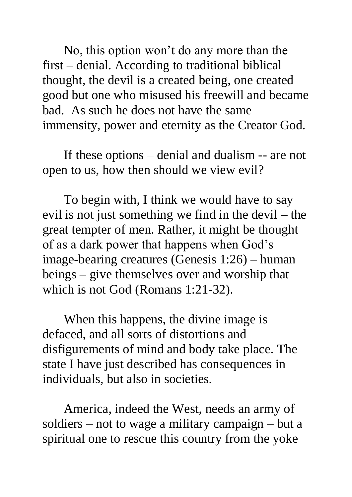No, this option won't do any more than the first – denial. According to traditional biblical thought, the devil is a created being, one created good but one who misused his freewill and became bad. As such he does not have the same immensity, power and eternity as the Creator God.

If these options – denial and dualism -- are not open to us, how then should we view evil?

To begin with, I think we would have to say evil is not just something we find in the devil – the great tempter of men. Rather, it might be thought of as a dark power that happens when God's image-bearing creatures (Genesis 1:26) – human beings – give themselves over and worship that which is not God (Romans 1:21-32).

When this happens, the divine image is defaced, and all sorts of distortions and disfigurements of mind and body take place. The state I have just described has consequences in individuals, but also in societies.

America, indeed the West, needs an army of soldiers – not to wage a military campaign – but a spiritual one to rescue this country from the yoke